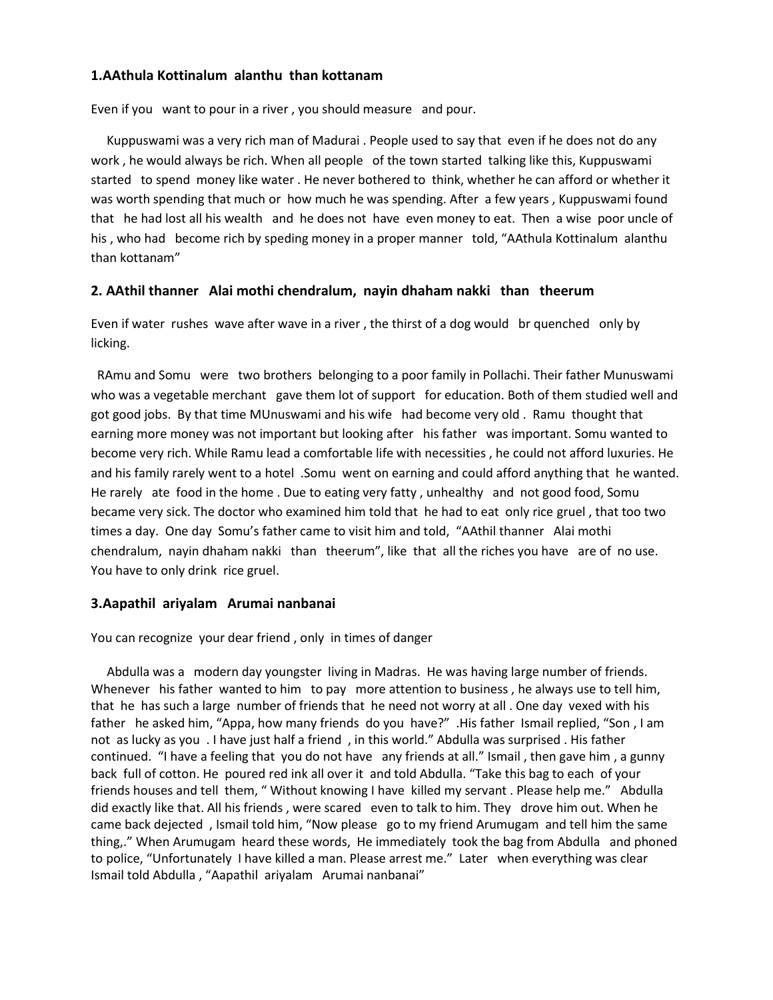# **1.AAthula Kottinalum alanthu than kottanam**

Even if you want to pour in a river , you should measure and pour.

 Kuppuswami was a very rich man of Madurai . People used to say that even if he does not do any work , he would always be rich. When all people of the town started talking like this, Kuppuswami started to spend money like water . He never bothered to think, whether he can afford or whether it was worth spending that much or how much he was spending. After a few years , Kuppuswami found that he had lost all his wealth and he does not have even money to eat. Then a wise poor uncle of his , who had become rich by speding money in a proper manner told, "AAthula Kottinalum alanthu than kottanam"

## **2. AAthil thanner Alai mothi chendralum, nayin dhaham nakki than theerum**

Even if water rushes wave after wave in a river , the thirst of a dog would br quenched only by licking.

 RAmu and Somu were two brothers belonging to a poor family in Pollachi. Their father Munuswami who was a vegetable merchant gave them lot of support for education. Both of them studied well and got good jobs. By that time MUnuswami and his wife had become very old . Ramu thought that earning more money was not important but looking after his father was important. Somu wanted to become very rich. While Ramu lead a comfortable life with necessities , he could not afford luxuries. He and his family rarely went to a hotel .Somu went on earning and could afford anything that he wanted. He rarely ate food in the home . Due to eating very fatty , unhealthy and not good food, Somu became very sick. The doctor who examined him told that he had to eat only rice gruel , that too two times a day. One day Somu's father came to visit him and told, "AAthil thanner Alai mothi chendralum, nayin dhaham nakki than theerum", like that all the riches you have are of no use. You have to only drink rice gruel.

## **3.Aapathil ariyalam Arumai nanbanai**

You can recognize your dear friend , only in times of danger

 Abdulla was a modern day youngster living in Madras. He was having large number of friends. Whenever his father wanted to him to pay more attention to business, he always use to tell him, that he has such a large number of friends that he need not worry at all . One day vexed with his father he asked him, "Appa, how many friends do you have?" .His father Ismail replied, "Son , I am not as lucky as you . I have just half a friend , in this world." Abdulla was surprised . His father continued. "I have a feeling that you do not have any friends at all." Ismail , then gave him , a gunny back full of cotton. He poured red ink all over it and told Abdulla. "Take this bag to each of your friends houses and tell them, " Without knowing I have killed my servant . Please help me." Abdulla did exactly like that. All his friends , were scared even to talk to him. They drove him out. When he came back dejected , Ismail told him, "Now please go to my friend Arumugam and tell him the same thing,." When Arumugam heard these words, He immediately took the bag from Abdulla and phoned to police, "Unfortunately I have killed a man. Please arrest me." Later when everything was clear Ismail told Abdulla , "Aapathil ariyalam Arumai nanbanai"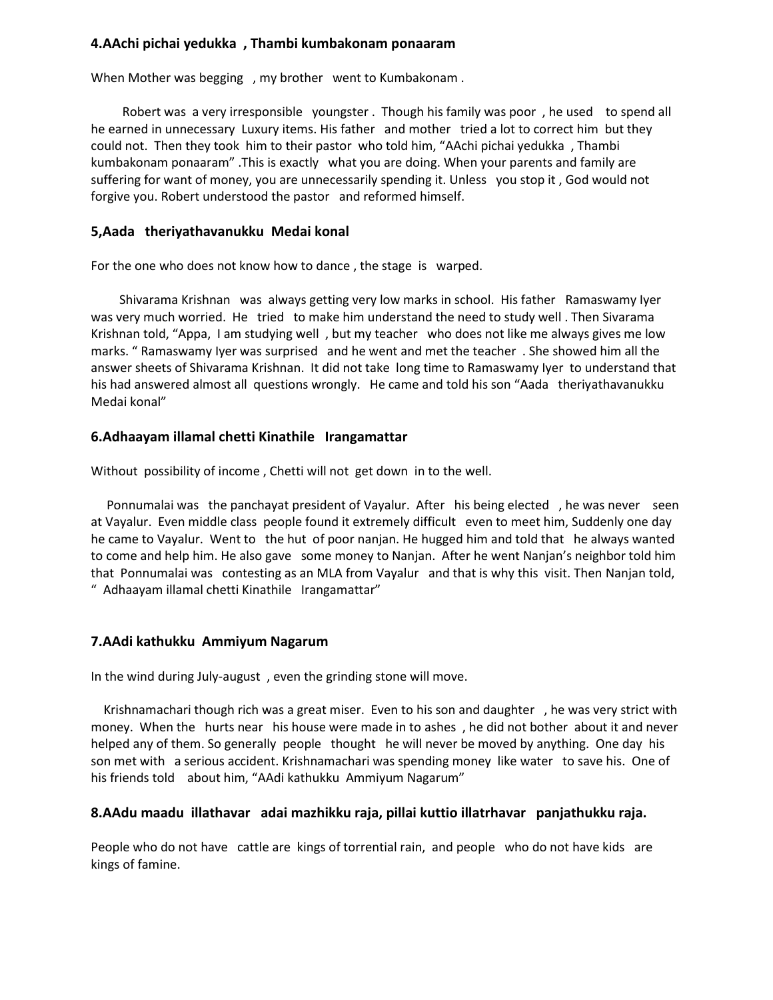## **4.AAchi pichai yedukka , Thambi kumbakonam ponaaram**

When Mother was begging , my brother went to Kumbakonam .

 Robert was a very irresponsible youngster . Though his family was poor , he used to spend all he earned in unnecessary Luxury items. His father and mother tried a lot to correct him but they could not. Then they took him to their pastor who told him, "AAchi pichai yedukka , Thambi kumbakonam ponaaram" .This is exactly what you are doing. When your parents and family are suffering for want of money, you are unnecessarily spending it. Unless you stop it , God would not forgive you. Robert understood the pastor and reformed himself.

# **5,Aada theriyathavanukku Medai konal**

For the one who does not know how to dance , the stage is warped.

 Shivarama Krishnan was always getting very low marks in school. His father Ramaswamy Iyer was very much worried. He tried to make him understand the need to study well . Then Sivarama Krishnan told, "Appa, I am studying well , but my teacher who does not like me always gives me low marks. " Ramaswamy Iyer was surprised and he went and met the teacher . She showed him all the answer sheets of Shivarama Krishnan. It did not take long time to Ramaswamy Iyer to understand that his had answered almost all questions wrongly. He came and told his son "Aada theriyathavanukku Medai konal"

# **6.Adhaayam illamal chetti Kinathile Irangamattar**

Without possibility of income , Chetti will not get down in to the well.

 Ponnumalai was the panchayat president of Vayalur. After his being elected , he was never seen at Vayalur. Even middle class people found it extremely difficult even to meet him, Suddenly one day he came to Vayalur. Went to the hut of poor nanjan. He hugged him and told that he always wanted to come and help him. He also gave some money to Nanjan. After he went Nanjan's neighbor told him that Ponnumalai was contesting as an MLA from Vayalur and that is why this visit. Then Nanjan told, " Adhaayam illamal chetti Kinathile Irangamattar"

## **7.AAdi kathukku Ammiyum Nagarum**

In the wind during July-august , even the grinding stone will move.

 Krishnamachari though rich was a great miser. Even to his son and daughter , he was very strict with money. When the hurts near his house were made in to ashes , he did not bother about it and never helped any of them. So generally people thought he will never be moved by anything. One day his son met with a serious accident. Krishnamachari was spending money like water to save his. One of his friends told about him, "AAdi kathukku Ammiyum Nagarum"

## **8.AAdu maadu illathavar adai mazhikku raja, pillai kuttio illatrhavar panjathukku raja.**

People who do not have cattle are kings of torrential rain, and people who do not have kids are kings of famine.